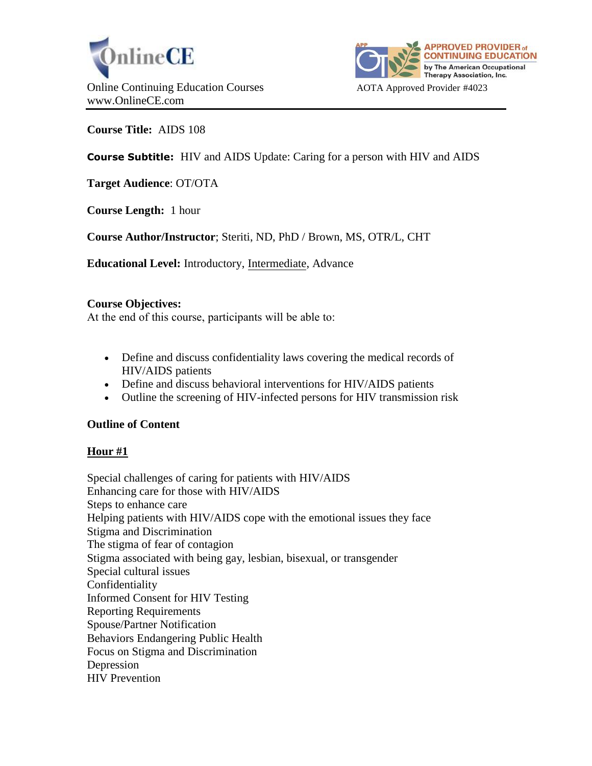



**Course Title:** AIDS 108

# **Course Subtitle:** HIV and AIDS Update: Caring for a person with HIV and AIDS

**Target Audience**: OT/OTA

**Course Length:** 1 hour

**Course Author/Instructor**; Steriti, ND, PhD / Brown, MS, OTR/L, CHT

**Educational Level:** Introductory, Intermediate, Advance

# **Course Objectives:**

At the end of this course, participants will be able to:

- Define and discuss confidentiality laws covering the medical records of HIV/AIDS patients
- Define and discuss behavioral interventions for HIV/AIDS patients
- Outline the screening of HIV-infected persons for HIV transmission risk

# **Outline of Content**

# **Hour #1**

Special challenges of caring for patients with HIV/AIDS Enhancing care for those with HIV/AIDS Steps to enhance care Helping patients with HIV/AIDS cope with the emotional issues they face Stigma and Discrimination The stigma of fear of contagion Stigma associated with being gay, lesbian, bisexual, or transgender Special cultural issues Confidentiality Informed Consent for HIV Testing Reporting Requirements Spouse/Partner Notification Behaviors Endangering Public Health Focus on Stigma and Discrimination Depression HIV Prevention